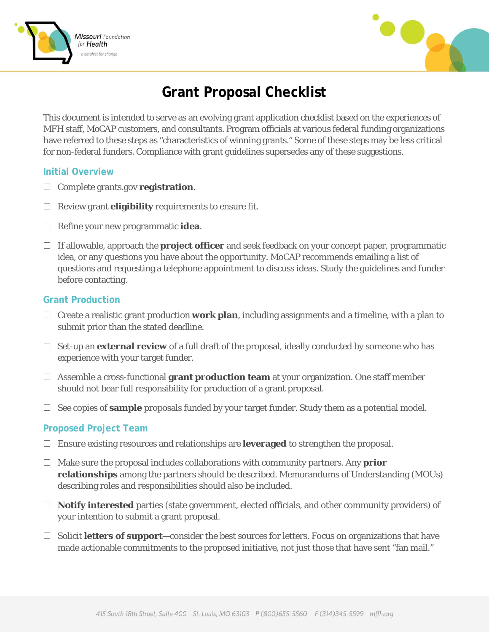



# **Grant Proposal Checklist**

This document is intended to serve as an evolving grant application checklist based on the experiences of MFH staff, MoCAP customers, and consultants. Program officials at various federal funding organizations have referred to these steps as "characteristics of winning grants." Some of these steps may be less critical for non-federal funders. Compliance with grant guidelines supersedes any of these suggestions.

#### **Initial Overview**

- □ Complete grants.gov **registration**.
- $\Box$  Review grant **eligibility** requirements to ensure fit.
- $\Box$  Refine your new programmatic **idea**.
- If allowable, approach the **project officer** and seek feedback on your concept paper, programmatic idea, or any questions you have about the opportunity. MoCAP recommends emailing a list of questions and requesting a telephone appointment to discuss ideas. Study the guidelines and funder before contacting.

## **Grant Production**

- $\Box$  Create a realistic grant production **work plan**, including assignments and a timeline, with a plan to submit prior than the stated deadline.
- $\Box$  Set-up an **external review** of a full draft of the proposal, ideally conducted by someone who has experience with your target funder.
- Assemble a cross-functional **grant production team** at your organization. One staff member should not bear full responsibility for production of a grant proposal.
- $\Box$  See copies of **sample** proposals funded by your target funder. Study them as a potential model.

## **Proposed Project Team**

- Ensure existing resources and relationships are **leveraged** to strengthen the proposal.
- $\Box$  Make sure the proposal includes collaborations with community partners. Any **prior relationships** among the partners should be described. Memorandums of Understanding (MOUs) describing roles and responsibilities should also be included.
- **Notify interested** parties (state government, elected officials, and other community providers) of your intention to submit a grant proposal.
- $\Box$  Solicit **letters of support**—consider the best sources for letters. Focus on organizations that have made actionable commitments to the proposed initiative, not just those that have sent "fan mail."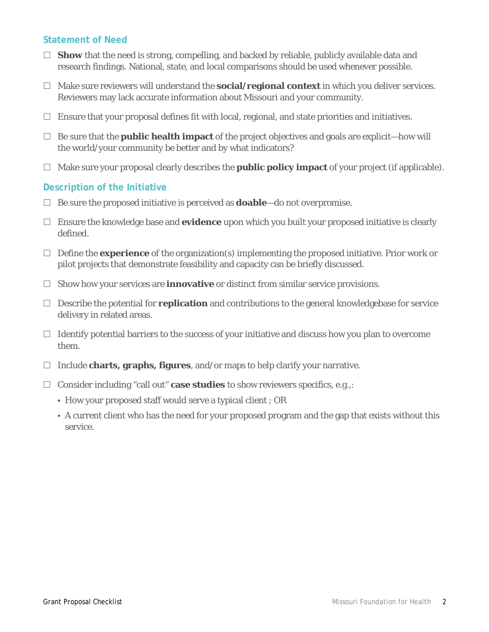## **Statement of Need**

- $\Box$  **Show** that the need is strong, compelling, and backed by reliable, publicly available data and research findings. National, state, and local comparisons should be used whenever possible.
- $\Box$  Make sure reviewers will understand the **social/regional context** in which you deliver services. Reviewers may lack accurate information about Missouri and your community.
- $\Box$  Ensure that your proposal defines fit with local, regional, and state priorities and initiatives.
- $\Box$  Be sure that the **public health impact** of the project objectives and goals are explicit—how will the world/your community be better and by what indicators?
- $\Box$  Make sure your proposal clearly describes the **public policy impact** of your project (if applicable).

#### **Description of the Initiative**

- $\Box$  Be sure the proposed initiative is perceived as **doable**—do not overpromise.
- $\Box$  Ensure the knowledge base and **evidence** upon which you built your proposed initiative is clearly defined.
- $\Box$  Define the **experience** of the organization(s) implementing the proposed initiative. Prior work or pilot projects that demonstrate feasibility and capacity can be briefly discussed.
- $\Box$  Show how your services are **innovative** or distinct from similar service provisions.
- $\Box$  Describe the potential for **replication** and contributions to the general knowledgebase for service delivery in related areas.
- $\Box$  Identify potential barriers to the success of your initiative and discuss how you plan to overcome them.
- Include **charts, graphs, figures**, and/or maps to help clarify your narrative.
- $\Box$  Consider including "call out" **case studies** to show reviewers specifics, e.g.,:
	- How your proposed staff would serve a typical client ; OR
	- A current client who has the need for your proposed program and the gap that exists without this service.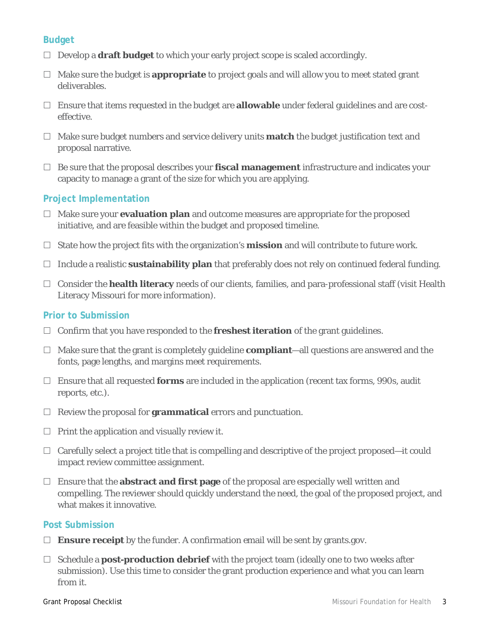# **Budget**

- $\Box$  Develop a **draft budget** to which your early project scope is scaled accordingly.
- $\Box$  Make sure the budget is **appropriate** to project goals and will allow you to meet stated grant deliverables.
- Ensure that items requested in the budget are **allowable** under federal guidelines and are costeffective.
- $\Box$  Make sure budget numbers and service delivery units **match** the budget justification text and proposal narrative.
- $\Box$  Be sure that the proposal describes your **fiscal management** infrastructure and indicates your capacity to manage a grant of the size for which you are applying.

# **Project Implementation**

- $\Box$  Make sure your **evaluation plan** and outcome measures are appropriate for the proposed initiative, and are feasible within the budget and proposed timeline.
- $\Box$  State how the project fits with the organization's **mission** and will contribute to future work.
- $\Box$  Include a realistic **sustainability plan** that preferably does not rely on continued federal funding.
- Consider the **health literacy** needs of our clients, families, and para-professional staff (visit Health Literacy Missouri for more information).

## **Prior to Submission**

- $\Box$  Confirm that you have responded to the **freshest iteration** of the grant guidelines.
- $\Box$  Make sure that the grant is completely guideline **compliant**—all questions are answered and the fonts, page lengths, and margins meet requirements.
- $\Box$  Ensure that all requested **forms** are included in the application (recent tax forms, 990s, audit reports, etc.).
- $\Box$  Review the proposal for **grammatical** errors and punctuation.
- $\Box$  Print the application and visually review it.
- $\Box$  Carefully select a project title that is compelling and descriptive of the project proposed—it could impact review committee assignment.
- $\Box$  Ensure that the **abstract and first page** of the proposal are especially well written and compelling. The reviewer should quickly understand the need, the goal of the proposed project, and what makes it innovative.

## **Post Submission**

- $\Box$  **Ensure receipt** by the funder. A confirmation email will be sent by grants.gov.
- $\Box$  Schedule a **post-production debrief** with the project team (ideally one to two weeks after submission). Use this time to consider the grant production experience and what you can learn from it.